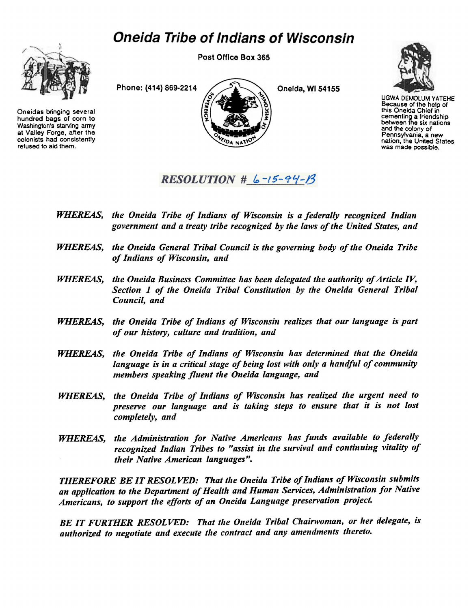## *Oneida Tribe of Indians of Wisconsin*



Oneidas bringing several hundred bags of corn to Washington's starving army at Valley Forge, after the colonists had consistently refused to aid them.

Post Office Box 365

Phone: (414) 869-2214  $\bigcup_{\Delta}$  Oneida, Wi 54155 DA NAT



UGWA DEMOLUM YATEHE Because of the help of this Oneida Chief in cementing a friendship<br>between the six nations and the colony of Pennsylvania, a new nation, the United States was made possible.

 $RESOLUTION \# 6-15-94-19$ 

- *WHEREAS, the Oneida Tribe of Indians of Wisconsin is a federally recognized Indian government and a treaty tribe recognized by the laws of the United States, and*
- *WHEREAS, the Oneida General Tribal Council is the governing body of the Oneida Tribe of Indians of Wisconsin, and*
- *WHEREAS, the Oneida Business Committee has been delegated the authority of Article IV, Section 1 of the Oneida Tribal Constitution by the Oneida General Tribal Council, and*
- *WHEREAS, the Oneida Tribe of Indians of Wisconsin realizes that our language is part of our history, culture and tradition, and*
- *WHEREAS, the Oneida Tribe of Indians of Wisconsin has determined that the Oneida language is in a critical stage of being lost with only a handful of community members speaking fluent the Oneida language, and*
- *WHEREAS, the Oneida Tribe of Indians of Wisconsin has realized the urgent need to preserve our language and is taking steps to ensure that it is not lost completely, and*
- *WHEREAS, the Administration for Native Americans has funds available to federally recognized Indian Tribes to "assist in the survival and continuing vitality of their Native American languages*

*THEREFORE BE IT RESOLVED: That the Oneida Tribe of Indians of Wisconsin submits an application to the Department of Health and Human Services, Administration for Native Americans, to support the efforts of an Oneida Language preservation project.* 

*BE IT FURTHER RESOLVED; That the Oneida Tribal Chairwoman, or her delegate, is authorized to negotiate and execute the contract and any amendments thereto.*